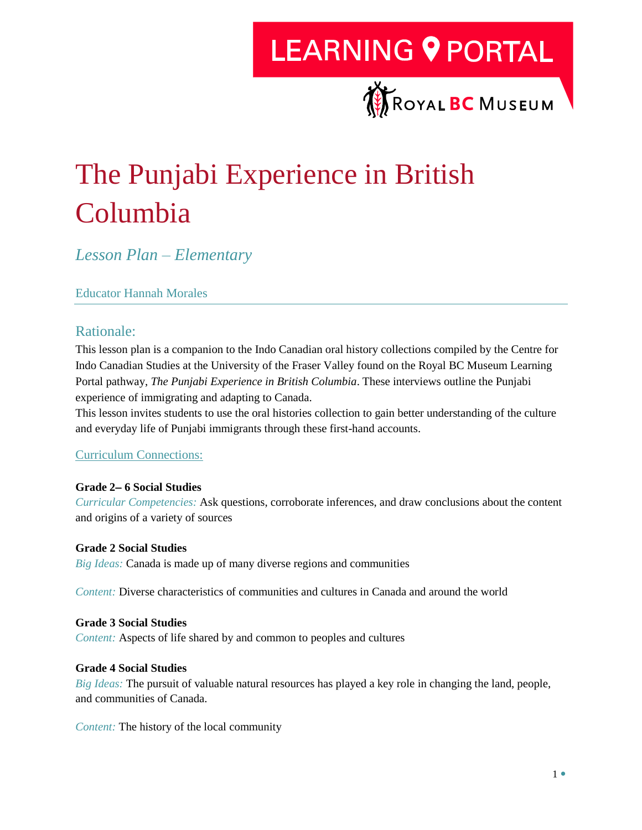### **LEARNING 9 PORTAL**



### The Punjabi Experience in British Columbia

*Lesson Plan – Elementary* 

#### Educator Hannah Morales

#### Rationale:

This lesson plan is a companion to the Indo Canadian oral history collections compiled by the Centre for Indo Canadian Studies at the University of the Fraser Valley found on the Royal BC Museum Learning Portal pathway, *The Punjabi Experience in British Columbia*. These interviews outline the Punjabi experience of immigrating and adapting to Canada.

This lesson invites students to use the oral histories collection to gain better understanding of the culture and everyday life of Punjabi immigrants through these first-hand accounts.

#### [Curriculum Connections:](https://curriculum.gov.bc.ca/)

#### **Grade 2 6 Social Studies**

*Curricular Competencies:* Ask questions, corroborate inferences, and draw conclusions about the content and origins of a variety of sources

#### **Grade 2 Social Studies**

*Big Ideas:* Canada is made up of many diverse regions and communities

*Content:* Diverse characteristics of communities and cultures in Canada and around the world

#### **Grade 3 Social Studies**

*Content:* Aspects of life shared by and common to peoples and cultures

#### **Grade 4 Social Studies**

*Big Ideas:* The pursuit of valuable natural resources has played a key role in changing the land, people, and communities of Canada.

*Content:* The history of the local community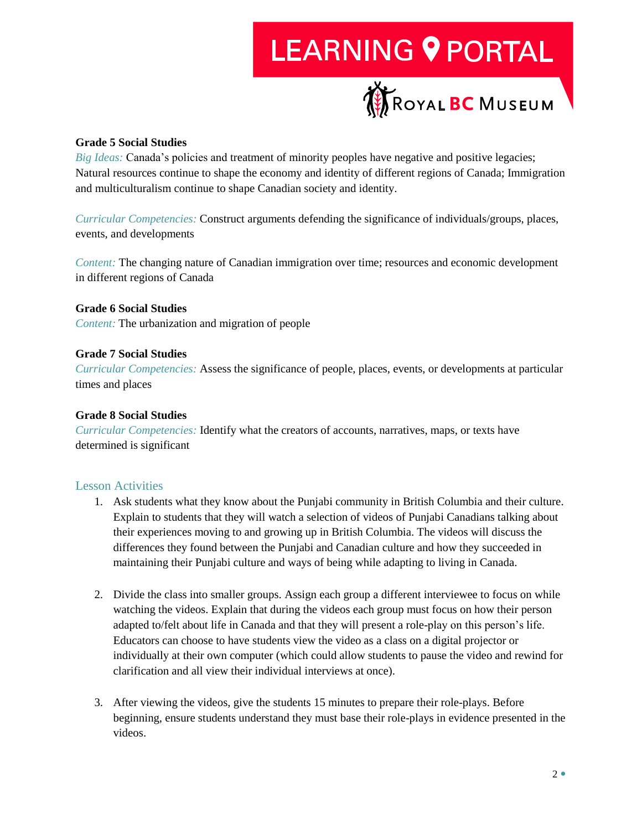# **LEARNING 9 PORTAL**



#### **Grade 5 Social Studies**

*Big Ideas:* Canada's policies and treatment of minority peoples have negative and positive legacies; Natural resources continue to shape the economy and identity of different regions of Canada; Immigration and multiculturalism continue to shape Canadian society and identity.

*Curricular Competencies:* Construct arguments defending the significance of individuals/groups, places, events, and developments

*Content:* The changing nature of Canadian immigration over time; resources and economic development in different regions of Canada

#### **Grade 6 Social Studies**

*Content:* The urbanization and migration of people

#### **Grade 7 Social Studies**

*Curricular Competencies:* Assess the significance of people, places, events, or developments at particular times and places

#### **Grade 8 Social Studies**

*Curricular Competencies:* Identify what the creators of accounts, narratives, maps, or texts have determined is significant

#### Lesson Activities

- 1. Ask students what they know about the Punjabi community in British Columbia and their culture. Explain to students that they will watch a selection of videos of Punjabi Canadians talking about their experiences moving to and growing up in British Columbia. The videos will discuss the differences they found between the Punjabi and Canadian culture and how they succeeded in maintaining their Punjabi culture and ways of being while adapting to living in Canada.
- 2. Divide the class into smaller groups. Assign each group a different interviewee to focus on while watching the videos. Explain that during the videos each group must focus on how their person adapted to/felt about life in Canada and that they will present a role-play on this person's life. Educators can choose to have students view the video as a class on a digital projector or individually at their own computer (which could allow students to pause the video and rewind for clarification and all view their individual interviews at once).
- 3. After viewing the videos, give the students 15 minutes to prepare their role-plays. Before beginning, ensure students understand they must base their role-plays in evidence presented in the videos.